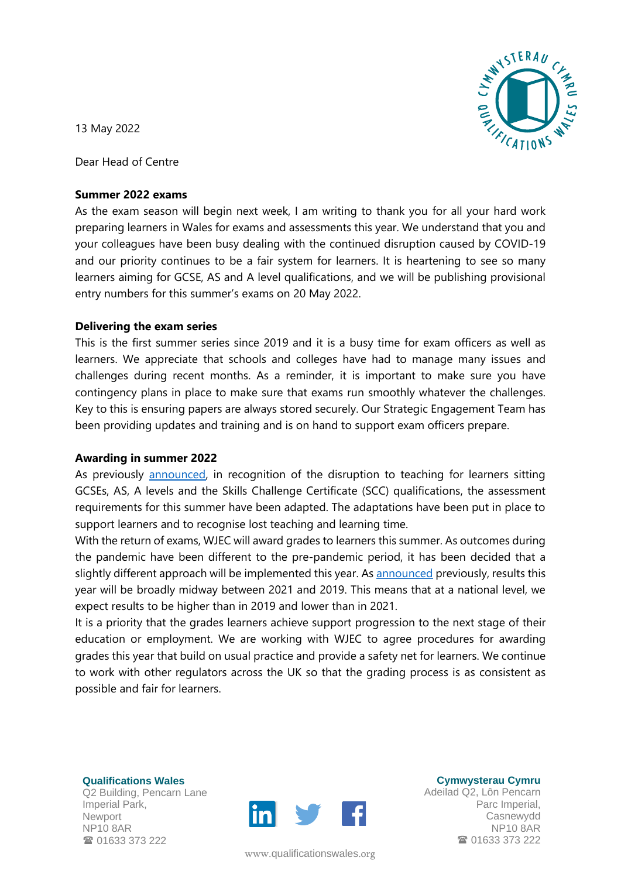

13 May 2022

Dear Head of Centre

## **Summer 2022 exams**

As the exam season will begin next week, I am writing to thank you for all your hard work preparing learners in Wales for exams and assessments this year. We understand that you and your colleagues have been busy dealing with the continued disruption caused by COVID-19 and our priority continues to be a fair system for learners. It is heartening to see so many learners aiming for GCSE, AS and A level qualifications, and we will be publishing provisional entry numbers for this summer's exams on 20 May 2022.

# **Delivering the exam series**

This is the first summer series since 2019 and it is a busy time for exam officers as well as learners. We appreciate that schools and colleges have had to manage many issues and challenges during recent months. As a reminder, it is important to make sure you have contingency plans in place to make sure that exams run smoothly whatever the challenges. Key to this is ensuring papers are always stored securely. Our Strategic Engagement Team has been providing updates and training and is on hand to support exam officers prepare.

## **Awarding in summer 2022**

As previously [announced,](https://qualificationswales.org/english/news/adaptations-for-2022-and-final-details-for-2021-announced/) in recognition of the disruption to teaching for learners sitting GCSEs, AS, A levels and the Skills Challenge Certificate (SCC) qualifications, the assessment requirements for this summer have been adapted. The adaptations have been put in place to support learners and to recognise lost teaching and learning time.

With the return of exams, WJEC will award grades to learners this summer. As outcomes during the pandemic have been different to the pre-pandemic period, it has been decided that a slightly different approach will be implemented this year. As [announced](https://qualificationswales.org/media/7960/qw-cc21-05-e-letter-to-centres-arrangements-for-2022.pdf) previously, results this year will be broadly midway between 2021 and 2019. This means that at a national level, we expect results to be higher than in 2019 and lower than in 2021.

It is a priority that the grades learners achieve support progression to the next stage of their education or employment. We are working with WJEC to agree procedures for awarding grades this year that build on usual practice and provide a safety net for learners. We continue to work with other regulators across the UK so that the grading process is as consistent as possible and fair for learners.

**Qualifications Wales** Q2 Building, Pencarn Lane Imperial Park, **Newport** NP10 8AR **雷 01633 373 222** 



www.[qualificationswales](http://qualificationswales.org/Splash).org

**Cymwysterau Cymru**

Adeilad Q2, Lôn Pencarn Parc Imperial, Casnewydd NP10 8AR ■ 01633 373 222